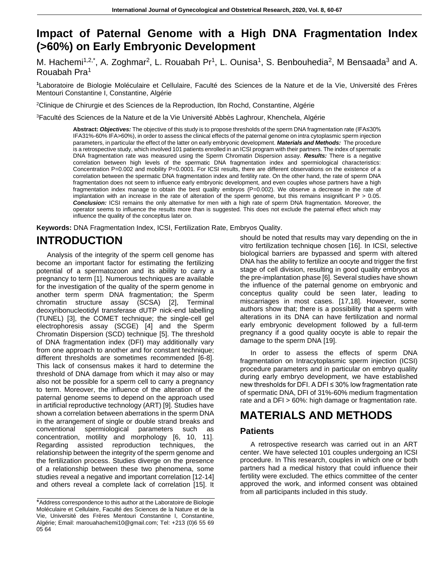### **Impact of Paternal Genome with a High DNA Fragmentation Index (>60%) on Early Embryonic Development**

M. Hachemi<sup>1,2,\*</sup>, A. Zoghmar<sup>2</sup>, L. Rouabah Pr<sup>1</sup>, L. Ounisa<sup>1</sup>, S. Benbouhedia<sup>2</sup>, M Bensaada<sup>3</sup> and A. Rouabah Pra<sup>1</sup>

**<sup>1</sup>**Laboratoire de Biologie Moléculaire et Cellulaire, Faculté des Sciences de la Nature et de la Vie, Université des Frères Mentouri Constantine I, Constantine, Algérie

<sup>2</sup>Clinique de Chirurgie et des Sciences de la Reproduction, Ibn Rochd, Constantine, Algérie

<sup>3</sup>Faculté des Sciences de la Nature et de la Vie Université Abbès Laghrour, Khenchela, Algérie

**Abstract:** *Objectives:* The objective of this study is to propose thresholds of the sperm DNA fragmentation rate (IFA≤30% IFA31%-60% IFA>60%), in order to assess the clinical effects of the paternal genome on intra cytoplasmic sperm injection parameters, in particular the effect of the latter on early embryonic development. *Materials and Methods:* The procedure is a retrospective study, which involved 101 patients enrolled in an ICSI program with their partners. The index of spermatic DNA fragmentation rate was measured using the Sperm Chromatin Dispersion assay. *Results:* There is a negative correlation between high levels of the spermatic DNA fragmentation index and spermiological characteristics: Concentration P=0.002 and mobility P=0.0001. For ICSI results, there are different observations on the existence of a correlation between the spermatic DNA fragmentation index and fertility rate. On the other hand, the rate of sperm DNA fragmentation does not seem to influence early embryonic development, and even couples whose partners have a high fragmentation index manage to obtain the best quality embryos (P=0.002). We observe a decrease in the rate of implantation with an increase in the rate of alteration of the sperm genome, but this remains insignificant  $P > 0.05$ . *Conclusion:* ICSI remains the only alternative for men with a high rate of sperm DNA fragmentation. Moreover, the operator seems to influence the results more than is suggested. This does not exclude the paternal effect which may influence the quality of the concepltus later on.

**Keywords:** DNA Fragmentation Index, ICSI, Fertilization Rate, Embryos Quality.

## **INTRODUCTION**

Analysis of the integrity of the sperm cell genome has become an important factor for estimating the fertilizing potential of a spermatozoon and its ability to carry a pregnancy to term [1]. Numerous techniques are available for the investigation of the quality of the sperm genome in another term sperm DNA fragmentation; the Sperm chromatin structure assay (SCSA) [2], Terminal deoxyribonucleotidyl transferase dUTP nick-end labelling (TUNEL) [3], the COMET technique; the single-cell gel electrophoresis assay (SCGE) [4] and the Sperm Chromatin Dispersion (SCD) technique [5]. The threshold of DNA fragmentation index (DFI) may additionally vary from one approach to another and for constant technique; different thresholds are sometimes recommended [6-8]. This lack of consensus makes it hard to determine the threshold of DNA damage from which it may also or may also not be possible for a sperm cell to carry a pregnancy to term. Moreover, the influence of the alteration of the paternal genome seems to depend on the approach used in artificial reproductive technology (ART) [9]. Studies have shown a correlation between aberrations in the sperm DNA in the arrangement of single or double strand breaks and conventional spermiological parameters such as concentration, motility and morphology [6, 10, 11]. Regarding assisted reproduction techniques, the relationship between the integrity of the sperm genome and the fertilization process. Studies diverge on the presence of a relationship between these two phenomena, some studies reveal a negative and important correlation [12-14] and others reveal a complete lack of correlation [15]. It should be noted that results may vary depending on the in vitro fertilization technique chosen [16]. In ICSI, selective biological barriers are bypassed and sperm with altered DNA has the ability to fertilize an oocyte and trigger the first stage of cell division, resulting in good quality embryos at the pre-implantation phase [6]. Several studies have shown the influence of the paternal genome on embryonic and conceptus quality could be seen later, leading to miscarriages in most cases. [17,18]. However, some authors show that; there is a possibility that a sperm with alterations in its DNA can have fertilization and normal early embryonic development followed by a full-term pregnancy if a good quality oocyte is able to repair the damage to the sperm DNA [19].

In order to assess the effects of sperm DNA fragmentation on Intracytoplasmic sperm injection (ICSI) procedure parameters and in particular on embryo quality during early embryo development, we have established new thresholds for DFI. A DFI ≤ 30% low fragmentation rate of spermatic DNA, DFI of 31%-60% medium fragmentation rate and a DFI > 60%: high damage or fragmentation rate.

## **MATERIALS AND METHODS**

#### **Patients**

A retrospective research was carried out in an ART center. We have selected 101 couples undergoing an ICSI procedure. In This research, couples in which one or both partners had a medical history that could influence their fertility were excluded. The ethics committee of the center approved the work, and informed consent was obtained from all participants included in this study.

<sup>\*</sup>Address correspondence to this author at the Laboratoire de Biologie Moléculaire et Cellulaire, Faculté des Sciences de la Nature et de la Vie, Université des Frères Mentouri Constantine I, Constantine, Algérie; Email: marouahachemi10@gmail.com; Tel: +213 (0)6 55 69 05 64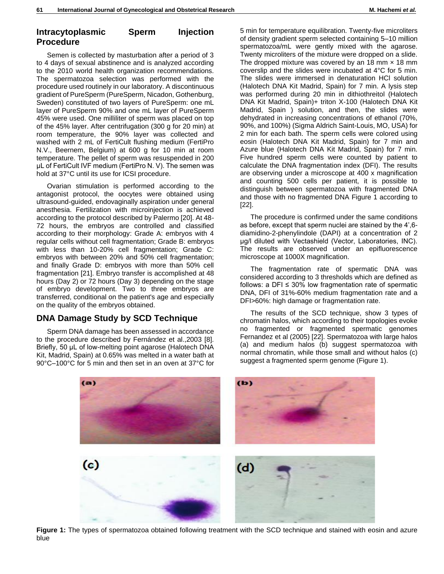#### **Intracytoplasmic Sperm Injection Procedure**

Semen is collected by masturbation after a period of 3 to 4 days of sexual abstinence and is analyzed according to the 2010 world health organization recommendations. The spermatozoa selection was performed with the procedure used routinely in our laboratory. A discontinuous gradient of PureSperm (PureSperm, Nicadon, Gothenburg, Sweden) constituted of two layers of PureSperm: one mL layer of PureSperm 90% and one mL layer of PureSperm 45% were used. One milliliter of sperm was placed on top of the 45% layer. After centrifugation (300 g for 20 min) at room temperature, the 90% layer was collected and washed with 2 mL of FertiCult flushing medium (FertiPro N.V., Beernem, Belgium) at 600 g for 10 min at room temperature. The pellet of sperm was resuspended in 200 μL of FertiCult IVF medium (FertiPro N. V). The semen was hold at 37°C until its use for ICSI procedure.

Ovarian stimulation is performed according to the antagonist protocol, the oocytes were obtained using ultrasound-guided, endovaginally aspiration under general anesthesia. Fertilization with microinjection is achieved according to the protocol described by Palermo [20]. At 48- 72 hours, the embryos are controlled and classified according to their morphology: Grade A: embryos with 4 regular cells without cell fragmentation; Grade B: embryos with less than 10-20% cell fragmentation; Grade C: embryos with between 20% and 50% cell fragmentation; and finally Grade D: embryos with more than 50% cell fragmentation [21]. Embryo transfer is accomplished at 48 hours (Day 2) or 72 hours (Day 3) depending on the stage of embryo development. Two to three embryos are transferred, conditional on the patient's age and especially on the quality of the embryos obtained.

#### **DNA Damage Study by SCD Technique**

Sperm DNA damage has been assessed in accordance to the procedure described by Fernández et al.,2003 [8]. Briefly, 50 μL of low-melting point agarose (Halotech DNA Kit, Madrid, Spain) at 0.65% was melted in a water bath at 90°C–100°C for 5 min and then set in an oven at 37°C for 5 min for temperature equilibration. Twenty-five microliters of density gradient sperm selected containing 5–10 million spermatozoa/mL were gently mixed with the agarose. Twenty microliters of the mixture were dropped on a slide. The dropped mixture was covered by an 18 mm  $\times$  18 mm coverslip and the slides were incubated at 4°C for 5 min. The slides were immersed in denaturation HCl solution (Halotech DNA Kit Madrid, Spain) for 7 min. A lysis step was performed during 20 min in dithiothreitol (Halotech DNA Kit Madrid, Spain)+ triton X-100 (Halotech DNA Kit Madrid, Spain ) solution, and then, the slides were dehydrated in increasing concentrations of ethanol (70%, 90%, and 100%) (Sigma Aldrich Saint-Louis, MO, USA) for 2 min for each bath. The sperm cells were colored using eosin (Halotech DNA Kit Madrid, Spain) for 7 min and Azure blue (Halotech DNA Kit Madrid, Spain) for 7 min. Five hundred sperm cells were counted by patient to calculate the DNA fragmentation index (DFI). The results are observing under a microscope at 400 x magnification and counting 500 cells per patient, it is possible to distinguish between spermatozoa with fragmented DNA and those with no fragmented DNA Figure 1 according to [22].

The procedure is confirmed under the same conditions as before, except that sperm nuclei are stained by the 4',6 diamidino-2-phenylindole (DAPI) at a concentration of 2 μg/l diluted with Vectashield (Vector, Laboratories, INC). The results are observed under an epifluorescence microscope at 1000X magnification.

The fragmentation rate of spermatic DNA was considered according to 3 thresholds which are defined as follows: a DFI  $\leq$  30% low fragmentation rate of spermatic DNA, DFI of 31%-60% medium fragmentation rate and a DFI>60%: high damage or fragmentation rate.

The results of the SCD technique, show 3 types of chromatin halos, which according to their topologies evoke no fragmented or fragmented spermatic genomes Fernandez et al (2005) [22]. Spermatozoa with large halos (a) and medium halos (b) suggest spermatozoa with normal chromatin, while those small and without halos (c) suggest a fragmented sperm genome (Figure 1).



**Figure 1:** The types of spermatozoa obtained following treatment with the SCD technique and stained with eosin and azure blue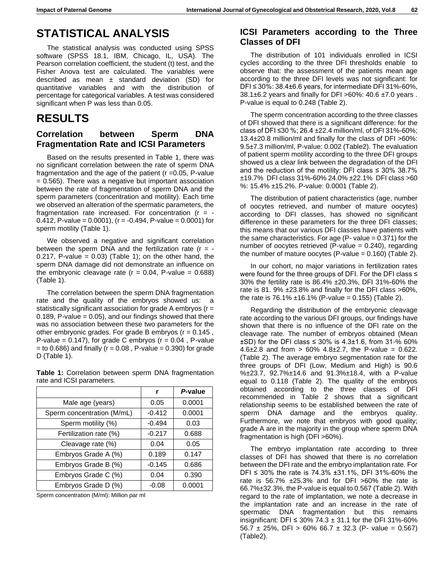## **STATISTICAL ANALYSIS**

The statistical analysis was conducted using SPSS software (SPSS 18.1, IBM, Chicago, IL, USA). The Pearson correlation coefficient, the student (t) test, and the Fisher Anova test are calculated. The variables were described as mean  $\pm$  standard deviation (SD) for quantitative variables and with the distribution of percentage for categorical variables. A test was considered significant when P was less than 0.05.

### **RESULTS**

### **Correlation between Sperm DNA Fragmentation Rate and ICSI Parameters**

Based on the results presented in Table 1, there was no significant correlation between the rate of sperm DNA fragmentation and the age of the patient (r =0.05, P-value  $= 0.565$ ). There was a negative but important association between the rate of fragmentation of sperm DNA and the sperm parameters (concentration and motility). Each time we observed an alteration of the spermatic parameters, the fragmentation rate increased. For concentration  $(r = -$ 0.412, P-value =  $0.0001$ ), (r =  $-0.494$ , P-value =  $0.0001$ ) for sperm motility (Table 1).

We observed a negative and significant correlation between the sperm DNA and the fertilization rate  $(r = -$ 0.217, P-value =  $0.03$ ) (Table 1); on the other hand, the sperm DNA damage did not demonstrate an influence on the embryonic cleavage rate  $(r = 0.04, P-value = 0.688)$ (Table 1).

The correlation between the sperm DNA fragmentation rate and the quality of the embryos showed us: a statistically significant association for grade A embryos (r = 0.189, P-value  $= 0.05$ , and our findings showed that there was no association between these two parameters for the other embryonic grades. For grade B embryos ( $r = 0.145$ , P-value =  $0.147$ ), for grade C embryos ( $r = 0.04$ , P-value  $=$  to 0.686) and finally ( $r = 0.08$ , P-value  $= 0.390$ ) for grade D (Table 1).

|                           |  |  | <b>Table 1:</b> Correlation between sperm DNA fragmentation |
|---------------------------|--|--|-------------------------------------------------------------|
| rate and ICSI parameters. |  |  |                                                             |

|                            | r        | P-value |
|----------------------------|----------|---------|
| Male age (years)           | 0.05     | 0.0001  |
| Sperm concentration (M/mL) | $-0.412$ | 0.0001  |
| Sperm motility (%)         | $-0.494$ | 0.03    |
| Fertilization rate (%)     | $-0.217$ | 0.688   |
| Cleavage rate (%)          | 0.04     | 0.05    |
| Embryos Grade A (%)        | 0.189    | 0.147   |
| Embryos Grade B (%)        | $-0.145$ | 0.686   |
| Embryos Grade C (%)        | 0.04     | 0.390   |
| Embryos Grade D (%)        | $-0.08$  | 0.0001  |

Sperm concentration (M/ml): Million par ml

#### **ICSI Parameters according to the Three Classes of DFI**

The distribution of 101 individuals enrolled in ICSI cycles according to the three DFI thresholds enable to observe that: the assessment of the patients mean age according to the three DFI levels was not significant: for DFI ≤ 30%: 38.4±6.6 years, for intermediate DFI 31%-60%, 38.1 $\pm$ 6.2 years and finally for DFI >60%: 40.6  $\pm$ 7.0 years. P-value is equal to 0.248 (Table 2).

The sperm concentration according to the three classes of DFI showed that there is a significant difference: for the class of DFI ≤30 %; 26.4 ±22.4 million/ml, of DFI 31%-60%; 13.4±20.8 million/ml and finally for the class of DFI >60%: 9.5±7.3 million/ml, P-value: 0.002 (Table2). The evaluation of patient sperm motility according to the three DFI groups showed us a clear link between the degradation of the DFI and the reduction of the motility: DFI class  $\leq$  30% 38.7% ±19.7% DFI class 31%-60% 24.0% ±22.1% DFI class >60 %: 15.4% ±15.2%. P-value: 0.0001 (Table 2).

The distribution of patient characteristics (age, number of oocytes retrieved, and number of mature oocytes) according to DFI classes, has showed no significant difference in these parameters for the three DFI classes; this means that our various DFI classes have patients with the same characteristics. For age  $(P - value = 0.371)$  for the number of oocytes retrieved (P-value  $= 0.240$ ), regarding the number of mature oocytes (P-value =  $0.160$ ) (Table 2).

In our cohort, no major variations in fertilization rates were found for the three groups of DFI. For the DFI class ≤ 30% the fertility rate is 86.4% ±20.3%, DFI 31%-60% the rate is 81. 9% ±23.8% and finally for the DFI class >60%, the rate is 76.1%  $\pm$ 16.1% (P-value = 0.155) (Table 2).

Regarding the distribution of the embryonic cleavage rate according to the various DFI groups, our findings have shown that there is no influence of the DFI rate on the cleavage rate. The number of embryos obtained (Mean  $±SD$ ) for the DFI class ≤ 30% is 4.3±1.6, from 31-% 60% 4.6 $\pm$ 2.8 and from > 60% 4.8 $\pm$ 2.7, the P-value = 0.622. (Table 2). The average embryo segmentation rate for the three groups of DFI (Low, Medium and High) is 90.6 %±23.7, 92.7%±14.6 and 91.3%±18.4, with a P-value equal to 0.118 (Table 2). The quality of the embryos obtained according to the three classes of DFI recommended in Table 2 shows that a significant relationship seems to be established between the rate of sperm DNA damage and the embryos quality. Furthermore, we note that embryos with good quality; grade A are in the majority in the group where sperm DNA fragmentation is high (DFI >60%).

The embryo implantation rate according to three classes of DFI has showed that there is no correlation between the DFI rate and the embryo implantation rate. For DFI ≤ 30% the rate is 74.3% ±31.1%, DFI 31%-60% the rate is 56.7%  $\pm 25.3$ % and for DFI >60% the rate is 66.7%±32.3%, the P-value is equal to 0.567 (Table 2). With regard to the rate of implantation, we note a decrease in the implantation rate and an increase in the rate of spermatic DNA fragmentation but this remains insignificant: DFI ≤ 30% 74.3 ± 31.1 for the DFI 31%-60% 56.7  $\pm$  25%, DFI > 60% 66.7  $\pm$  32.3 (P- value = 0.567) (Table2).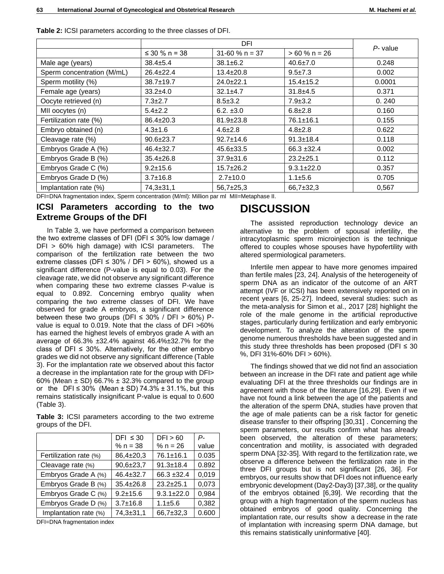|                            | DFI                 |                   |                  |             |  |
|----------------------------|---------------------|-------------------|------------------|-------------|--|
|                            | ≤ 30 % n = 38       | $31-60 \% n = 37$ | $>60 \% n = 26$  | $P$ - value |  |
| Male age (years)           | $38.4 \pm 5.4$      | $38.1 \pm 6.2$    | $40.6 \pm 7.0$   | 0.248       |  |
| Sperm concentration (M/mL) | $26.4 \pm 22.4$     | $13.4 \pm 20.8$   | $9.5 + 7.3$      | 0.002       |  |
| Sperm motility (%)         | 38.7±19.7           | $24.0 \pm 22.1$   | $15.4 \pm 15.2$  | 0.0001      |  |
| Female age (years)         | $33.2+4.0$          | $32.1 \pm 4.7$    | $31.8 + 4.5$     | 0.371       |  |
| Oocyte retrieved (n)       | $7.3 \pm 2.7$       | $8.5 \pm 3.2$     | $7.9 \pm 3.2$    | 0.240       |  |
| MII oocytes (n)            | $5.4 \pm 2.2$       | $6.2. \pm 3.0$    | $6.8 \pm 2.8$    | 0.160       |  |
| Fertilization rate (%)     | $86.4 \pm 20.3$     | $81.9 \pm 23.8$   | $76.1 \pm 16.1$  | 0.155       |  |
| Embryo obtained (n)        | $4.3 \pm 1.6$       | $4.6 \pm 2.8$     | $4.8 \pm 2.8$    | 0.622       |  |
| Cleavage rate (%)          | $90.6 \pm 23.7$     | $92.7 \pm 14.6$   | $91.3 \pm 18.4$  | 0.118       |  |
| Embryos Grade A (%)        | $46.4 \pm 32.7$     | $45.6 \pm 33.5$   | $66.3 + 32.4$    | 0.002       |  |
| Embryos Grade B (%)        | $35.4 \pm 26.8$     | $37.9 \pm 31.6$   | $23.2 + 25.1$    | 0.112       |  |
| Embryos Grade C (%)        | $9.2 + 15.6$        | $15.7 \pm 26.2$   | $9.3.1 \pm 22.0$ | 0.357       |  |
| Embryos Grade D (%)        | $3.7 \pm 16.8$      | $2.7 \pm 10.0$    | $1.1 + 5.6$      | 0.705       |  |
| Implantation rate (%)      | $74,3 \pm 31,1$<br> | $56,7+25,3$       | $66,7+32,3$      | 0,567       |  |

**Table 2:** ICSI parameters according to the three classes of DFI.

DFI=DNA fragmentation index, Sperm concentration (M/ml): Million par ml MII=Metaphase II.

#### **ICSI Parameters according to the two Extreme Groups of the DFI**

In Table 3, we have performed a comparison between the two extreme classes of DFI (DFI  $\leq$  30% low damage / DFI > 60% high damage) with ICSI parameters. The comparison of the fertilization rate between the two extreme classes (DFI  $\leq$  30% / DFI  $>$  60%), showed us a significant difference (P-value is equal to 0.03). For the cleavage rate, we did not observe any significant difference when comparing these two extreme classes P-value is equal to 0.892. Concerning embryo quality when comparing the two extreme classes of DFI. We have observed for grade A embryos, a significant difference between these two groups (DFI  $\leq$  30% / DFI  $>$  60%) Pvalue is equal to 0.019. Note that the class of DFI >60% has earned the highest levels of embryos grade A with an average of 66.3% ±32.4% against 46.4%±32.7% for the class of DFI  $\leq$  30%. Alternatively, for the other embryo grades we did not observe any significant difference (Table 3). For the implantation rate we observed about this factor a decrease in the implantation rate for the group with DFI> 60% (Mean  $\pm$  SD) 66.7%  $\pm$  32.3% compared to the group or the DFI ≤ 30% (Mean ± SD) 74.3% ± 31.1%, but this remains statistically insignificant P-value is equal to 0.600 (Table 3).

**Table 3:** ICSI parameters according to the two extreme groups of the DFI.

|                        | DFI $\leq 30$   | DFI > 60         | Р-    |  |  |
|------------------------|-----------------|------------------|-------|--|--|
|                        | % $n = 38$      | % $n = 26$       | value |  |  |
| Fertilization rate (%) | 86,4±20,3       | 76.1±16.1        | 0.035 |  |  |
| Cleavage rate (%)      | $90,6{\pm}23,7$ | $91.3 \pm 18.4$  | 0.892 |  |  |
| Embryos Grade A (%)    | $46.4 \pm 32.7$ | $66.3 + 32.4$    | 0,019 |  |  |
| Embryos Grade B (%)    | $35.4 \pm 26.8$ | $23.2 \pm 25.1$  | 0,073 |  |  |
| Embryos Grade C (%)    | $9.2 + 15.6$    | $9.3.1 \pm 22.0$ | 0,984 |  |  |
| Embryos Grade D (%)    | $3.7 \pm 16.8$  | $1.1 + 5.6$      | 0,382 |  |  |
| Implantation rate (%)  | $74,3 \pm 31,1$ | 66,7±32,3        | 0.600 |  |  |
|                        |                 |                  |       |  |  |

DFI=DNA fragmentation index

## **DISCUSSION**

The assisted reproduction technology device an alternative to the problem of spousal infertility, the intracytoplasmic sperm microinjection is the technique offered to couples whose spouses have hypofertility with altered spermiological parameters.

Infertile men appear to have more genomes impaired than fertile males [23, 24]. Analysis of the heterogeneity of sperm DNA as an indicator of the outcome of an ART attempt (IVF or ICSI) has been extensively reported on in recent years [6, 25-27]. Indeed, several studies: such as the meta-analysis for Simon et al., 2017 [28] highlight the role of the male genome in the artificial reproductive stages, particularly during fertilization and early embryonic development. To analyze the alteration of the sperm genome numerous thresholds have been suggested and in this study three thresholds has been proposed (DFI  $\leq$  30 %, DFI 31%-60% DFI > 60%).

The findings showed that we did not find an association between an increase in the DFI rate and patient age while evaluating DFI at the three thresholds our findings are in agreement with those of the literature [16,29]. Even if we have not found a link between the age of the patients and the alteration of the sperm DNA, studies have proven that the age of male patients can be a risk factor for genetic disease transfer to their offspring [30,31] . Concerning the sperm parameters, our results confirm what has already been observed, the alteration of these parameters; concentration and motility, is associated with degraded sperm DNA [32-35]. With regard to the fertilization rate, we observe a difference between the fertilization rate in the three DFI groups but is not significant [26, 36]. For embryos, our results show that DFI does not influence early embryonic development (Day2-Day3) [37,38], or the quality of the embryos obtained [6,39]. We recording that the group with a high fragmentation of the sperm nucleus has obtained embryos of good quality. Concerning the implantation rate, our results show a decrease in the rate of implantation with increasing sperm DNA damage, but this remains statistically uninformative [40].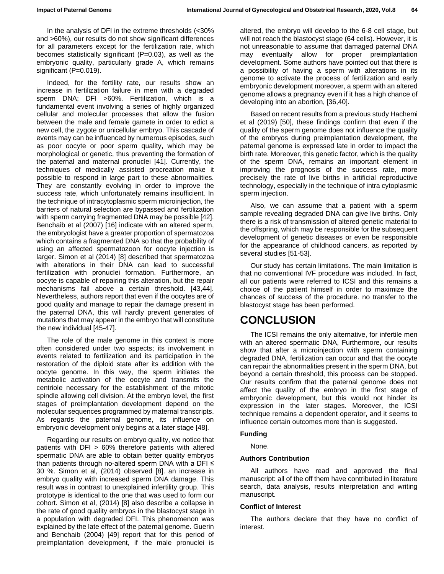In the analysis of DFI in the extreme thresholds (<30% and >60%), our results do not show significant differences for all parameters except for the fertilization rate, which becomes statistically significant (P=0.03), as well as the embryonic quality, particularly grade A, which remains significant (P=0.019).

Indeed, for the fertility rate, our results show an increase in fertilization failure in men with a degraded sperm DNA; DFI >60%. Fertilization, which is a fundamental event involving a series of highly organized cellular and molecular processes that allow the fusion between the male and female gamete in order to edict a new cell, the zygote or unicellular embryo. This cascade of events may can be influenced by numerous episodes, such as poor oocyte or poor sperm quality, which may be morphological or genetic, thus preventing the formation of the paternal and maternal pronuclei [41]. Currently, the techniques of medically assisted procreation make it possible to respond in large part to these abnormalities. They are constantly evolving in order to improve the success rate, which unfortunately remains insufficient. In the technique of intracytoplasmic sperm microinjection, the barriers of natural selection are bypassed and fertilization with sperm carrying fragmented DNA may be possible [42]. Benchaib et al (2007) [16] indicate with an altered sperm, the embryologist have a greater proportion of spermatozoa which contains a fragmented DNA so that the probability of using an affected spermatozoon for oocyte injection is larger. Simon et al (2014) [8] described that spermatozoa with alterations in their DNA can lead to successful fertilization with pronuclei formation. Furthermore, an oocyte is capable of repairing this alteration, but the repair mechanisms fail above a certain threshold. [43,44]. Nevertheless, authors report that even if the oocytes are of good quality and manage to repair the damage present in the paternal DNA, this will hardly prevent generates of mutations that may appear in the embryo that will constitute the new individual [45-47].

The role of the male genome in this context is more often considered under two aspects; its involvement in events related to fertilization and its participation in the restoration of the diploid state after its addition with the oocyte genome. In this way, the sperm initiates the metabolic activation of the oocyte and transmits the centriole necessary for the establishment of the mitotic spindle allowing cell division. At the embryo level, the first stages of preimplantation development depend on the molecular sequences programmed by maternal transcripts. As regards the paternal genome, its influence on embryonic development only begins at a later stage [48].

Regarding our results on embryo quality, we notice that patients with DFI > 60% therefore patients with altered spermatic DNA are able to obtain better quality embryos than patients through no-altered sperm DNA with a DFI ≤ 30 %. Simon et al, (2014) observed [8]. an increase in embryo quality with increased sperm DNA damage. This result was in contrast to unexplained infertility group. This prototype is identical to the one that was used to form our cohort. Simon et al, (2014) [8] also describe a collapse in the rate of good quality embryos in the blastocyst stage in a population with degraded DFI. This phenomenon was explained by the late effect of the paternal genome. Guerin and Benchaib (2004) [49] report that for this period of preimplantation development, if the male pronuclei is

altered, the embryo will develop to the 6-8 cell stage, but will not reach the blastocyst stage (64 cells). However, it is not unreasonable to assume that damaged paternal DNA may eventually allow for proper preimplantation development. Some authors have pointed out that there is a possibility of having a sperm with alterations in its genome to activate the process of fertilization and early embryonic development moreover, a sperm with an altered genome allows a pregnancy even if it has a high chance of developing into an abortion, [36,40].

Based on recent results from a previous study Hachemi et al (2019) [50], these findings confirm that even if the quality of the sperm genome does not influence the quality of the embryos during preimplantation development, the paternal genome is expressed late in order to impact the birth rate. Moreover, this genetic factor, which is the quality of the sperm DNA, remains an important element in improving the prognosis of the success rate, more precisely the rate of live births in artificial reproductive technology, especially in the technique of intra cytoplasmic sperm injection.

Also, we can assume that a patient with a sperm sample revealing degraded DNA can give live births. Only there is a risk of transmission of altered genetic material to the offspring, which may be responsible for the subsequent development of genetic diseases or even be responsible for the appearance of childhood cancers, as reported by several studies [51-53].

Our study has certain limitations. The main limitation is that no conventional IVF procedure was included. In fact, all our patients were referred to ICSI and this remains a choice of the patient himself in order to maximize the chances of success of the procedure. no transfer to the blastocyst stage has been performed.

# **CONCLUSION**

The ICSI remains the only alternative, for infertile men with an altered spermatic DNA, Furthermore, our results show that after a microinjection with sperm containing degraded DNA, fertilization can occur and that the oocyte can repair the abnormalities present in the sperm DNA, but beyond a certain threshold, this process can be stopped. Our results confirm that the paternal genome does not affect the quality of the embryo in the first stage of embryonic development, but this would not hinder its expression in the later stages. Moreover, the ICSI technique remains a dependent operator, and it seems to influence certain outcomes more than is suggested.

#### **Funding**

None.

#### **Authors Contribution**

All authors have read and approved the final manuscript: all of the off them have contributed in literature search, data analysis, results interpretation and writing manuscript.

#### **Conflict of Interest**

The authors declare that they have no conflict of interest.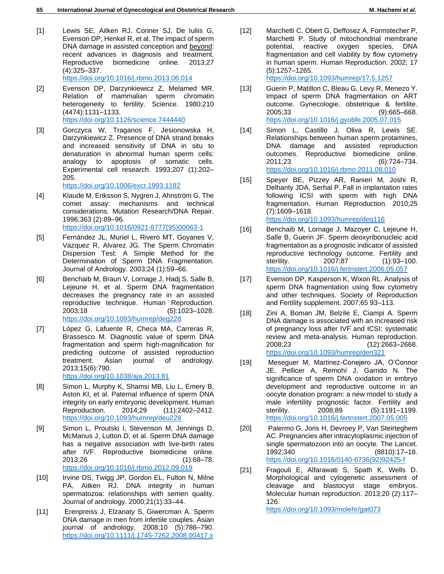- [1] Lewis SE, Aitken RJ, Conner SJ, De Iuliis G, Evenson DP, Henkel R, et al. The impact of sperm DNA damage in assisted conception and beyond: recent advances in diagnosis and treatment. Reproductive biomedicine online. 2013;27 (4):325–337. <https://doi.org/10.1016/j.rbmo.2013.06.014>
- [2] Evenson DP, Darzynkiewicz Z, Melamed MR. Relation of mammalian sperm chromatin heterogeneity to fertility. Science. 1980;210 (4474):1131–1133. <https://doi.org/10.1126/science.7444440>
- [3] Gorczyca W, Traganos F, Jesionowska H, Darzynkiewicz Z. Presence of DNA strand breaks and increased sensitivity of DNA in situ to denaturation in abnormal human sperm cells: analogy to apoptosis of somatic cells. Experimental cell research. 1993;207 (1):202– 205.

<https://doi.org/10.1006/excr.1993.1182>

- [4] Klaude M, Eriksson S, Nygren J, Ahnström G. The comet assay: mechanisms and technical considerations. Mutation Research/DNA Repair. 1996;363 (2):89–96. [https://doi.org/10.1016/0921-8777\(95\)00063-1](https://doi.org/10.1016/0921-8777(95)00063-1)
- [5] Fernández JL, Muriel L, Rivero MT, Goyanes V, Vazquez R, Alvarez JG. The Sperm Chromatin Dispersion Test: A Simple Method for the Determination of Sperm DNA Fragmentation. Journal of Andrology. 2003;24 (1):59–66.
- [6] Benchaib M, Braun V, Lornage J, Hadj S, Salle B, Lejeune H, et al. Sperm DNA fragmentation decreases the pregnancy rate in an assisted reproductive technique. Human Reproduction. 2003;18 (5):1023–1028. <https://doi.org/10.1093/humrep/deg228>
- [7] López G, Lafuente R, Checa MA, Carreras R, Brassesco M. Diagnostic value of sperm DNA fragmentation and sperm high-magnification for predicting outcome of assisted reproduction treatment. Asian journal of andrology. 2013;15(6):790.

<https://doi.org/10.1038/aja.2013.81>

- [8] Simon L, Murphy K, Shamsi MB, Liu L, Emery B, Aston KI, et al. Paternal influence of sperm DNA integrity on early embryonic development. Human Reproduction. 2014;29 (11):2402–2412. <https://doi.org/10.1093/humrep/deu228>
- [9] Simon L, Proutski I, Stevenson M, Jennings D, McManus J, Lutton D, et al. Sperm DNA damage has a negative association with live-birth rates after IVF. Reproductive biomedicine online. 2013;26 (1):68–78. <https://doi.org/10.1016/j.rbmo.2012.09.019>
- [10] Irvine DS, Twigg JP, Gordon EL, Fulton N, Milne PA, Aitken RJ. DNA integrity in human spermatozoa: relationships with semen quality. Journal of andrology. 2000;21(1):33–44.
- [11] Erenpreiss J, Elzanaty S, Giwercman A. Sperm DNA damage in men from infertile couples. Asian journal of andrology. 2008;10 (5):786–790. <https://doi.org/10.1111/j.1745-7262.2008.00417.x>
- [12] Marchetti C, Obert G, Deffosez A, Formstecher P, Marchetti P. Study of mitochondrial membrane potential, reactive oxygen species, DNA fragmentation and cell viability by flow cytometry in human sperm. Human Reproduction. 2002; 17 (5):1257–1265. <https://doi.org/10.1093/humrep/17.5.1257>
- [13] Guerin P, Matillon C, Bleau G, Levy R, Menezo Y. Impact of sperm DNA fragmentation on ART outcome. Gynecologie, obstetrique & fertilite. 2005;33 (9):665–668. <https://doi.org/10.1016/j.gyobfe.2005.07.015>
- [14] Simon L, Castillo J, Oliva R, Lewis SE. Relationships between human sperm protamines, DNA damage and assisted reproduction outcomes. Reproductive biomedicine online. 2011;23 (6):724–734. <https://doi.org/10.1016/j.rbmo.2011.08.010>
- [15] Speyer BE, Pizzey AR, Ranieri M, Joshi R, Delhanty JDA, Serhal P. Fall in implantation rates following ICSI with sperm with high DNA fragmentation. Human Reproduction. 2010;25 (7):1609–1618. <https://doi.org/10.1093/humrep/deq116>

[16] Benchaib M, Lornage J, Mazoyer C, Lejeune H, Salle B, Guerin JF. Sperm deoxyribonucleic acid fragmentation as a prognostic indicator of assisted reproductive technology outcome. Fertility and sterility. 2007;87 (1):93-100. <https://doi.org/10.1016/j.fertnstert.2006.05.057>

- [17] Evenson DP, Kasperson K, Wixon RL. Analysis of sperm DNA fragmentation using flow cytometry and other techniques. Society of Reproduction and Fertility supplement. 2007;65 93–113.
- [18] Zini A, Boman JM, Belzile E, Ciampi A. Sperm DNA damage is associated with an increased risk of pregnancy loss after IVF and ICSI: systematic review and meta-analysis. Human reproduction. 2008;23 (12):2663–2668. <https://doi.org/10.1093/humrep/den321>
- [19] Meseguer M, Martinez-Conejero JA, O'Connor JE, Pellicer A, Remohí J, Garrido N. The significance of sperm DNA oxidation in embryo development and reproductive outcome in an oocyte donation program: a new model to study a male infertility prognostic factor. Fertility and sterility. 2008;89 (5):1191–1199. <https://doi.org/10.1016/j.fertnstert.2007.05.005>
- [20] Palermo G, Joris H, Devroey P, Van Steirteghem AC. Pregnancies after intracytoplasmic injection of single spermatozoon into an oocyte. The Lancet. 1992;340 (8810):17–18. [https://doi.org/10.1016/0140-6736\(92\)92425-f](https://doi.org/10.1016/0140-6736(92)92425-f)
- [21] Fragouli E, Alfarawati S, Spath K, Wells D. Morphological and cytogenetic assessment of cleavage and blastocyst stage embryos. Molecular human reproduction. 2013;20 (2):117– 126.

<https://doi.org/10.1093/molehr/gat073>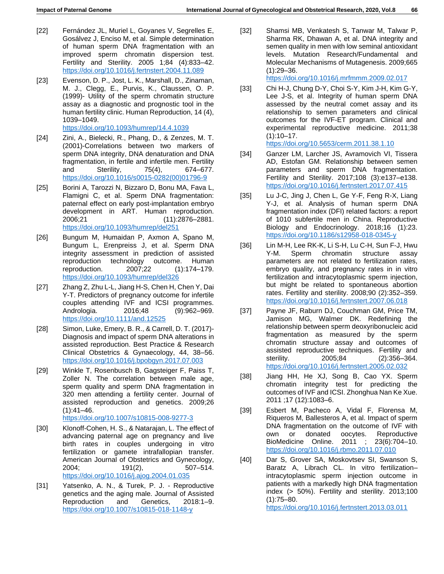- [22] Fernández JL, Muriel L, Goyanes V, Segrelles E, Gosálvez J, Enciso M, et al. Simple determination of human sperm DNA fragmentation with an improved sperm chromatin dispersion test. Fertility and Sterility. 2005 1;84 (4):833–42. <https://doi.org/10.1016/j.fertnstert.2004.11.089>
- [23] Evenson, D. P., Jost, L. K., Marshall, D., Zinaman, M. J., Clegg, E., Purvis, K., Claussen, O. P. (1999)- Utility of the sperm chromatin structure assay as a diagnostic and prognostic tool in the human fertility clinic. Human Reproduction, 14 (4), 1039–1049. <https://doi.org/10.1093/humrep/14.4.1039>
- [24] Zini, A., Bielecki, R., Phang, D., & Zenzes, M. T. (2001)-Correlations between two markers of sperm DNA integrity, DNA denaturation and DNA fragmentation, in fertile and infertile men. Fertility and Sterility, 75(4), 674–677. [https://doi.org/10.1016/s0015-0282\(00\)01796-9](https://doi.org/10.1016/s0015-0282(00)01796-9)
- [25] Borini A, Tarozzi N, Bizzaro D, Bonu MA, Fava L, Flamigni C, et al. Sperm DNA fragmentation: paternal effect on early post-implantation embryo development in ART. Human reproduction. 2006;21 (11):2876–2881. <https://doi.org/10.1093/humrep/del251>
- [26] Bungum M, Humaidan P, Axmon A, Spano M, Bungum L, Erenpreiss J, et al. Sperm DNA integrity assessment in prediction of assisted reproduction technology outcome. Human reproduction. 2007;22 (1):174–179. <https://doi.org/10.1093/humrep/del326>
- [27] Zhang Z, Zhu L-L, Jiang H-S, Chen H, Chen Y, Dai Y-T. Predictors of pregnancy outcome for infertile couples attending IVF and ICSI programmes. Andrologia. 2016;48 (9):962-969. <https://doi.org/10.1111/and.12525>
- [28] Simon, Luke, Emery, B. R., & Carrell, D. T. (2017)- Diagnosis and impact of sperm DNA alterations in assisted reproduction. Best Practice & Research Clinical Obstetrics & Gynaecology, 44, 38–56. <https://doi.org/10.1016/j.bpobgyn.2017.07.003>
- [29] Winkle T, Rosenbusch B, Gagsteiger F, Paiss T, Zoller N. The correlation between male age, sperm quality and sperm DNA fragmentation in 320 men attending a fertility center. Journal of assisted reproduction and genetics. 2009;26  $(1):41-46.$

<https://doi.org/10.1007/s10815-008-9277-3>

- [30] Klonoff-Cohen, H. S., & Natarajan, L. The effect of advancing paternal age on pregnancy and live birth rates in couples undergoing in vitro fertilization or gamete intrafallopian transfer. American Journal of Obstetrics and Gynecology, 2004; 191(2), 507–514. <https://doi.org/10.1016/j.ajog.2004.01.035>
- [31] Yatsenko, A. N., & Turek, P. J. Reproductive genetics and the aging male. Journal of Assisted Reproduction and Genetics, 2018:1–9. <https://doi.org/10.1007/s10815-018-1148-y>

[32] Shamsi MB, Venkatesh S, Tanwar M, Talwar P, Sharma RK, Dhawan A, et al. DNA integrity and semen quality in men with low seminal antioxidant levels. Mutation Research/Fundamental and Molecular Mechanisms of Mutagenesis. 2009;665 (1):29–36.

<https://doi.org/10.1016/j.mrfmmm.2009.02.017>

- [33] Chi H-J, Chung D-Y, Choi S-Y, Kim J-H, Kim G-Y, Lee J-S, et al. Integrity of human sperm DNA assessed by the neutral comet assay and its relationship to semen parameters and clinical outcomes for the IVF-ET program. Clinical and experimental reproductive medicine. 2011;38  $(1):10-17.$ <https://doi.org/10.5653/cerm.2011.38.1.10>
- [34] Ganzer LM, Larcher JS, Avramovich VI, Tissera AD, Estofan GM. Relationship between semen parameters and sperm DNA fragmentation. Fertility and Sterility. 2017;108 (3):e137–e138. <https://doi.org/10.1016/j.fertnstert.2017.07.415>
- [35] Lu J-C, Jing J, Chen L, Ge Y-F, Feng R-X, Liang Y-J, et al. Analysis of human sperm DNA fragmentation index (DFI) related factors: a report of 1010 subfertile men in China. Reproductive Biology and Endocrinology. 2018;16 (1):23. <https://doi.org/10.1186/s12958-018-0345-y>
- [36] Lin M-H, Lee RK-K, Li S-H, Lu C-H, Sun F-J, Hwu Y-M. Sperm chromatin structure assay parameters are not related to fertilization rates, embryo quality, and pregnancy rates in in vitro fertilization and intracytoplasmic sperm injection, but might be related to spontaneous abortion rates. Fertility and sterility. 2008;90 (2):352–359. <https://doi.org/10.1016/j.fertnstert.2007.06.018>
- [37] Payne JF, Raburn DJ, Couchman GM, Price TM, Jamison MG, Walmer DK. Redefining the relationship between sperm deoxyribonucleic acid fragmentation as measured by the sperm chromatin structure assay and outcomes of assisted reproductive techniques. Fertility and sterility. 2005;84 (2):356–364. <https://doi.org/10.1016/j.fertnstert.2005.02.032>
- [38] Jiang HH, He XJ, Song B, Cao YX. Sperm chromatin integrity test for predicting the outcomes of IVF and ICSI. Zhonghua Nan Ke Xue. 2011 ;17 (12):1083–6.
- [39] Esbert M, Pacheco A, Vidal F, Florensa M, Riqueros M, Ballesteros A, et al. Impact of sperm DNA fragmentation on the outcome of IVF with own or donated oocytes. Reproductive BioMedicine Online. 2011 ; 23(6):704–10. <https://doi.org/10.1016/j.rbmo.2011.07.010>
- [40] Dar S, Grover SA, Moskovtsev SI, Swanson S, Baratz A, Librach CL. In vitro fertilization– intracytoplasmic sperm injection outcome in patients with a markedly high DNA fragmentation index (> 50%). Fertility and sterility. 2013;100 (1):75–80.

<https://doi.org/10.1016/j.fertnstert.2013.03.011>